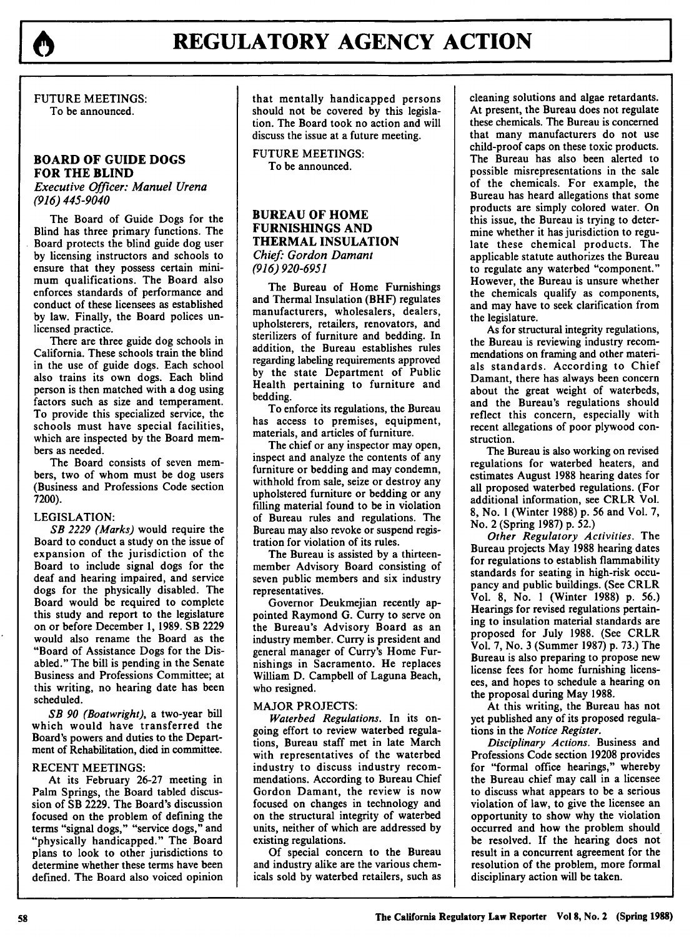

**FUTURE** MEETINGS: To be announced.

## **BOARD OF GUIDE DOGS FOR THE BLIND**

*Executive Officer: Manuel Urena (916) 445-9040*

The Board of Guide Dogs for the Blind has three primary functions. The Board protects the blind guide dog user by licensing instructors and schools to ensure that they possess certain minimum qualifications. The Board also enforces standards of performance and conduct of these licensees as established by law. Finally, the Board polices unlicensed practice.

There are three guide dog schools in California. These schools train the blind in the use of guide dogs. Each school also trains its own dogs. Each blind person is then matched with a dog using factors such as size and temperament. To provide this specialized service, the schools must have special facilities, which are inspected by the Board members as needed.

The Board consists of seven members, two of whom must be dog users (Business and Professions Code section **7200).**

## LEGISLATION:

*SB 2229 (Marks)* would require the Board to conduct a study on the issue of expansion of the jurisdiction of the Board to include signal dogs for the deaf and hearing impaired, and service dogs for the physically disabled. The Board would be required to complete this study and report to the legislature on or before December 1, 1989. SB 2229 would also rename the Board as the "Board of Assistance Dogs for the Disabled." The bill is pending in the Senate Business and Professions Committee; at this writing, no hearing date has been scheduled.

SB 90 (Boatwright), a two-year bill which would have transferred the Board's powers and duties to the Department of Rehabilitation, died in committee.

#### RECENT MEETINGS:

At its February 26-27 meeting in Palm Springs, the Board tabled discussion of SB 2229. The Board's discussion focused on the problem of defining the terms "signal dogs," "service dogs," and "physically handicapped." The Board plans to look to other jurisdictions to determine whether these terms have been defined. The Board also voiced opinion that mentally handicapped persons should not be covered **by** this legislation. The Board took no action and will discuss the issue at a future meeting.

FUTURE MEETINGS: To be announced.

## **BUREAU OF HOME** FURNISHINGS **AND THERMAL INSULATION** *Chief. Gordon Damant (916) 920-6951*

The Bureau of Home Furnishings and Thermal Insulation (BHF) regulates manufacturers, wholesalers, dealers, upholsterers, retailers, renovators, and sterilizers of furniture and bedding. In addition, the Bureau establishes rules regarding labeling requirements approved by the state Department of Public Health pertaining to furniture and bedding.

To enforce its regulations, the Bureau has access to premises, equipment, materials, and articles of furniture.

The chief or any inspector may open, inspect and analyze the contents of any furniture or bedding and may condemn, withhold from sale, seize or destroy any upholstered furniture or bedding or any filling material found to be in violation of Bureau rules and regulations. The Bureau may also revoke or suspend registration for violation of its rules.

The Bureau is assisted by a thirteenmember Advisory Board consisting of seven public members and six industry representatives.

Governor Deukmejian recently appointed Raymond G. Curry to serve on the Bureau's Advisory Board as an industry member. Curry is president and general manager of Curry's Home Furnishings in Sacramento. He replaces William D. Campbell of Laguna Beach, who resigned.

### MAJOR **PROJECTS:**

*Waterbed Regulations.* In its ongoing effort to review waterbed regulations, Bureau staff met in late March with representatives of the waterbed industry to discuss industry recommendations. According to Bureau Chief Gordon Damant, the review is now focused on changes in technology and on the structural integrity of waterbed units, neither of which are addressed by existing regulations.

Of special concern to the Bureau and industry alike are the various chemicals sold by waterbed retailers, such as cleaning solutions and algae retardants. At present, the Bureau does not regulate these chemicals. The Bureau is concerned that many manufacturers do not use child-proof caps on these toxic products. The Bureau has also been alerted to possible misrepresentations in the sale of the chemicals. For example, the Bureau has heard allegations that some products are simply colored water. On this issue, the Bureau is trying to determine whether it has jurisdiction to regulate these chemical products. The applicable statute authorizes the Bureau to regulate any waterbed "component." However, the Bureau is unsure whether the chemicals qualify as components, and may have to seek clarification from the legislature.

As for structural integrity regulations, the Bureau is reviewing industry recommendations on framing and other materials standards. According to Chief Damant, there has always been concern about the great weight of waterbeds, and the Bureau's regulations should reflect this concern, especially with recent allegations of poor plywood construction.

The Bureau is also working on revised regulations for waterbed heaters, and estimates August **1988** hearing dates for all proposed waterbed regulations. (For additional information, see CRLR Vol. **8,** No. **1** (Winter **1988) p. 56** and Vol. **7,** No. 2 (Spring **1987) p. 52.)**

*Other Regulatory Activities.* The Bureau projects May **1988** hearing dates for regulations to establish flammability standards for seating in high-risk occupancy and public buildings. (See CRLR Vol. **8,** No. **1** (Winter **1988) p. 56.)** Hearings for revised regulations pertaining to insulation material standards are proposed for July **1988.** (See CRLR Vol. **7,** No. **3** (Summer **1987) p. 73.)** The Bureau is also preparing to propose new license fees for home furnishing licensees, and hopes to schedule a hearing on the proposal during May **1988.**

At this writing, the Bureau has not yet published any of its proposed regulations in the *Notice Register.*

*Disciplinary Actions.* Business and Professions Code section **19208** provides for "formal office hearings," whereby the Bureau chief may call in a licensee to discuss what appears to be a serious violation of law, to give the licensee an opportunity to show why the violation occurred and how the problem should be resolved. If the hearing does not result in a concurrent agreement for the resolution of the problem, more formal disciplinary action will be taken.